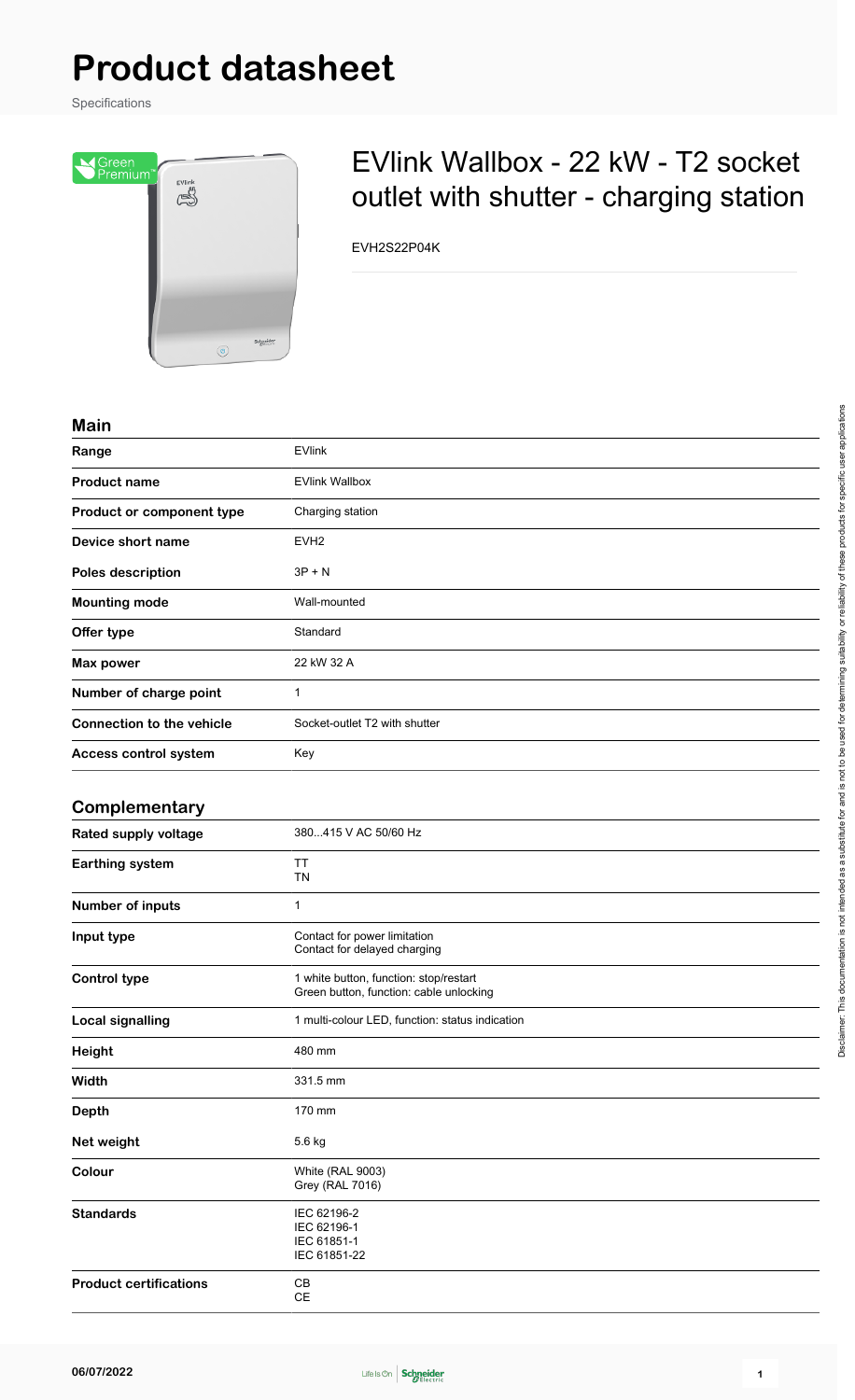# **Product datasheet**

Specifications



## EVlink Wallbox - 22 kW - T2 socket outlet with shutter - charging station

EVH2S22P04K

#### **Main**

| <b>IVIAIII</b>                   |                               |
|----------------------------------|-------------------------------|
| Range                            | <b>EVlink</b>                 |
| <b>Product name</b>              | <b>EVlink Wallbox</b>         |
| Product or component type        | Charging station              |
| Device short name                | EVH <sub>2</sub>              |
| Poles description                | $3P + N$                      |
| <b>Mounting mode</b>             | Wall-mounted                  |
| Offer type                       | Standard                      |
| Max power                        | 22 kW 32 A                    |
| Number of charge point           | 1                             |
| <b>Connection to the vehicle</b> | Socket-outlet T2 with shutter |
| Access control system            | Key                           |
|                                  |                               |

#### **Complementary**

| Rated supply voltage          | 380415 V AC 50/60 Hz                                                              |
|-------------------------------|-----------------------------------------------------------------------------------|
| Earthing system               | TT<br><b>TN</b>                                                                   |
| Number of inputs              | $\mathbf 1$                                                                       |
| Input type                    | Contact for power limitation<br>Contact for delayed charging                      |
| <b>Control type</b>           | 1 white button, function: stop/restart<br>Green button, function: cable unlocking |
| <b>Local signalling</b>       | 1 multi-colour LED, function: status indication                                   |
| <b>Height</b>                 | 480 mm                                                                            |
| Width                         | 331.5 mm                                                                          |
| <b>Depth</b>                  | 170 mm                                                                            |
| Net weight                    | 5.6 kg                                                                            |
| Colour                        | <b>White (RAL 9003)</b><br><b>Grey (RAL 7016)</b>                                 |
| <b>Standards</b>              | IEC 62196-2<br>IEC 62196-1<br>IEC 61851-1<br>IEC 61851-22                         |
| <b>Product certifications</b> | CB<br><b>CE</b>                                                                   |